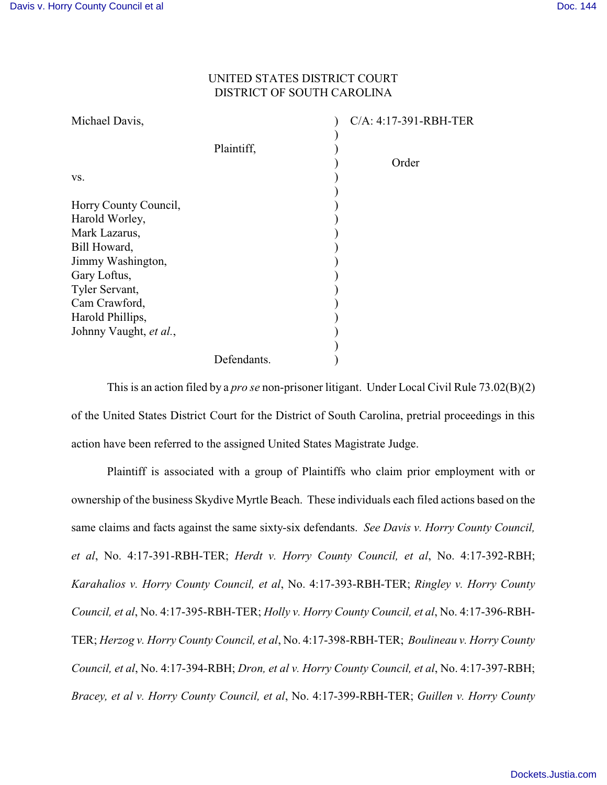## UNITED STATES DISTRICT COURT DISTRICT OF SOUTH CAROLINA

| Michael Davis,         |             | C/A: 4:17-391-RBH-TER |
|------------------------|-------------|-----------------------|
|                        | Plaintiff,  |                       |
| VS.                    |             | Order                 |
|                        |             |                       |
| Horry County Council,  |             |                       |
| Harold Worley,         |             |                       |
| Mark Lazarus,          |             |                       |
| Bill Howard,           |             |                       |
| Jimmy Washington,      |             |                       |
| Gary Loftus,           |             |                       |
| Tyler Servant,         |             |                       |
| Cam Crawford,          |             |                       |
| Harold Phillips,       |             |                       |
| Johnny Vaught, et al., |             |                       |
|                        |             |                       |
|                        | Defendants. |                       |

This is an action filed by a *pro se* non-prisoner litigant. Under Local Civil Rule 73.02(B)(2) of the United States District Court for the District of South Carolina, pretrial proceedings in this action have been referred to the assigned United States Magistrate Judge.

Plaintiff is associated with a group of Plaintiffs who claim prior employment with or ownership of the business Skydive Myrtle Beach. These individuals each filed actions based on the same claims and facts against the same sixty-six defendants. *See Davis v. Horry County Council, et al*, No. 4:17-391-RBH-TER; *Herdt v. Horry County Council, et al*, No. 4:17-392-RBH; *Karahalios v. Horry County Council, et al*, No. 4:17-393-RBH-TER; *Ringley v. Horry County Council, et al*, No. 4:17-395-RBH-TER; *Holly v. Horry County Council, et al*, No. 4:17-396-RBH-TER; *Herzog v. Horry County Council, et al*, No. 4:17-398-RBH-TER; *Boulineau v. Horry County Council, et al*, No. 4:17-394-RBH; *Dron, et al v. Horry County Council, et al*, No. 4:17-397-RBH; *Bracey, et al v. Horry County Council, et al*, No. 4:17-399-RBH-TER; *Guillen v. Horry County*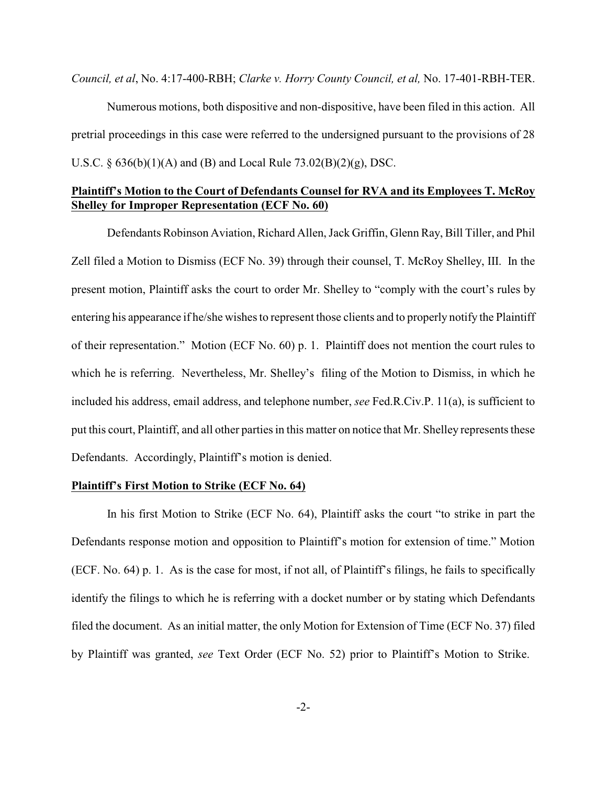*Council, et al*, No. 4:17-400-RBH; *Clarke v. Horry County Council, et al,* No. 17-401-RBH-TER.

Numerous motions, both dispositive and non-dispositive, have been filed in this action. All pretrial proceedings in this case were referred to the undersigned pursuant to the provisions of 28 U.S.C. § 636(b)(1)(A) and (B) and Local Rule 73.02(B)(2)(g), DSC.

### **Plaintiff's Motion to the Court of Defendants Counsel for RVA and its Employees T. McRoy Shelley for Improper Representation (ECF No. 60)**

Defendants Robinson Aviation, Richard Allen, Jack Griffin, Glenn Ray, Bill Tiller, and Phil Zell filed a Motion to Dismiss (ECF No. 39) through their counsel, T. McRoy Shelley, III. In the present motion, Plaintiff asks the court to order Mr. Shelley to "comply with the court's rules by entering his appearance if he/she wishes to represent those clients and to properly notify the Plaintiff of their representation." Motion (ECF No. 60) p. 1. Plaintiff does not mention the court rules to which he is referring. Nevertheless, Mr. Shelley's filing of the Motion to Dismiss, in which he included his address, email address, and telephone number, *see* Fed.R.Civ.P. 11(a), is sufficient to put this court, Plaintiff, and all other parties in this matter on notice that Mr. Shelley represents these Defendants. Accordingly, Plaintiff's motion is denied.

### **Plaintiff's First Motion to Strike (ECF No. 64)**

In his first Motion to Strike (ECF No. 64), Plaintiff asks the court "to strike in part the Defendants response motion and opposition to Plaintiff's motion for extension of time." Motion (ECF. No. 64) p. 1. As is the case for most, if not all, of Plaintiff's filings, he fails to specifically identify the filings to which he is referring with a docket number or by stating which Defendants filed the document. As an initial matter, the only Motion for Extension of Time (ECF No. 37) filed by Plaintiff was granted, *see* Text Order (ECF No. 52) prior to Plaintiff's Motion to Strike.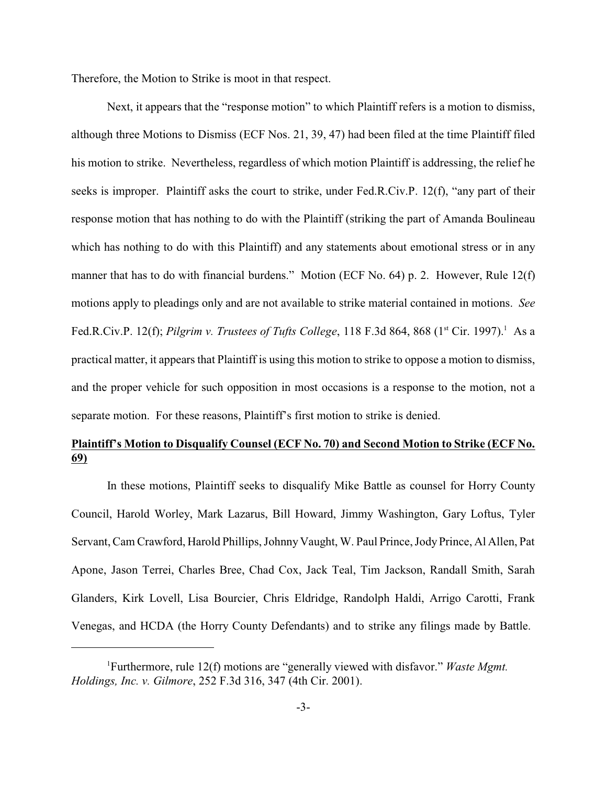Therefore, the Motion to Strike is moot in that respect.

Next, it appears that the "response motion" to which Plaintiff refers is a motion to dismiss, although three Motions to Dismiss (ECF Nos. 21, 39, 47) had been filed at the time Plaintiff filed his motion to strike. Nevertheless, regardless of which motion Plaintiff is addressing, the relief he seeks is improper. Plaintiff asks the court to strike, under Fed.R.Civ.P. 12(f), "any part of their response motion that has nothing to do with the Plaintiff (striking the part of Amanda Boulineau which has nothing to do with this Plaintiff) and any statements about emotional stress or in any manner that has to do with financial burdens." Motion (ECF No. 64) p. 2. However, Rule 12(f) motions apply to pleadings only and are not available to strike material contained in motions. *See* Fed.R.Civ.P. 12(f); *Pilgrim v. Trustees of Tufts College*, 118 F.3d 864, 868 (1<sup>st</sup> Cir. 1997).<sup>1</sup> As a practical matter, it appears that Plaintiff is using this motion to strike to oppose a motion to dismiss, and the proper vehicle for such opposition in most occasions is a response to the motion, not a separate motion. For these reasons, Plaintiff's first motion to strike is denied.

# **Plaintiff's Motion to Disqualify Counsel (ECF No. 70) and Second Motion to Strike (ECF No. 69)**

In these motions, Plaintiff seeks to disqualify Mike Battle as counsel for Horry County Council, Harold Worley, Mark Lazarus, Bill Howard, Jimmy Washington, Gary Loftus, Tyler Servant, Cam Crawford, Harold Phillips, Johnny Vaught, W. Paul Prince, Jody Prince, Al Allen, Pat Apone, Jason Terrei, Charles Bree, Chad Cox, Jack Teal, Tim Jackson, Randall Smith, Sarah Glanders, Kirk Lovell, Lisa Bourcier, Chris Eldridge, Randolph Haldi, Arrigo Carotti, Frank Venegas, and HCDA (the Horry County Defendants) and to strike any filings made by Battle.

Furthermore, rule 12(f) motions are "generally viewed with disfavor." *Waste Mgmt.* <sup>1</sup> *Holdings, Inc. v. Gilmore*, 252 F.3d 316, 347 (4th Cir. 2001).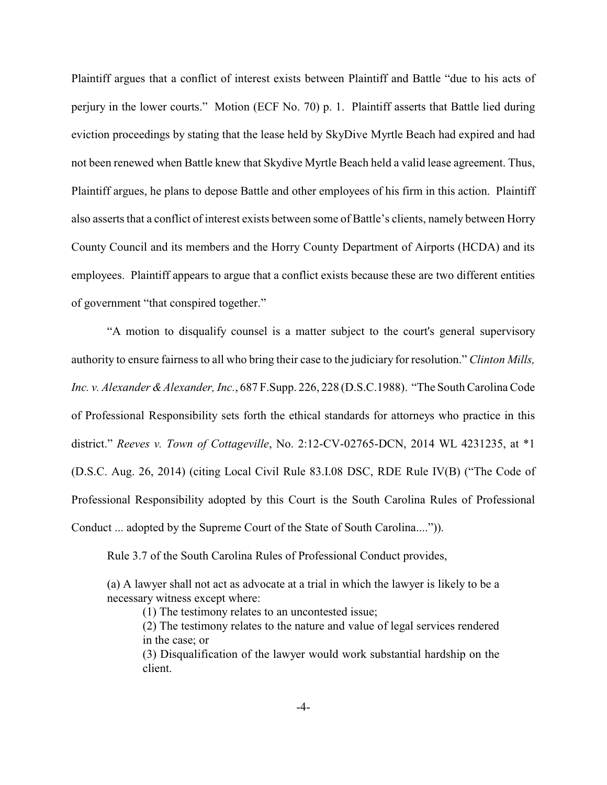Plaintiff argues that a conflict of interest exists between Plaintiff and Battle "due to his acts of perjury in the lower courts." Motion (ECF No. 70) p. 1. Plaintiff asserts that Battle lied during eviction proceedings by stating that the lease held by SkyDive Myrtle Beach had expired and had not been renewed when Battle knew that Skydive Myrtle Beach held a valid lease agreement. Thus, Plaintiff argues, he plans to depose Battle and other employees of his firm in this action. Plaintiff also asserts that a conflict of interest exists between some of Battle's clients, namely between Horry County Council and its members and the Horry County Department of Airports (HCDA) and its employees. Plaintiff appears to argue that a conflict exists because these are two different entities of government "that conspired together."

"A motion to disqualify counsel is a matter subject to the court's general supervisory authority to ensure fairness to all who bring their case to the judiciary for resolution." *Clinton Mills, Inc. v. Alexander &Alexander, Inc.*, 687 F.Supp. 226, 228 (D.S.C.1988). "The South Carolina Code of Professional Responsibility sets forth the ethical standards for attorneys who practice in this district." *Reeves v. Town of Cottageville*, No. 2:12-CV-02765-DCN, 2014 WL 4231235, at \*1 (D.S.C. Aug. 26, 2014) (citing Local Civil Rule 83.I.08 DSC, RDE Rule IV(B) ("The Code of Professional Responsibility adopted by this Court is the South Carolina Rules of Professional Conduct ... adopted by the Supreme Court of the State of South Carolina....")).

Rule 3.7 of the South Carolina Rules of Professional Conduct provides,

(a) A lawyer shall not act as advocate at a trial in which the lawyer is likely to be a necessary witness except where:

(1) The testimony relates to an uncontested issue;

(2) The testimony relates to the nature and value of legal services rendered in the case; or

(3) Disqualification of the lawyer would work substantial hardship on the client.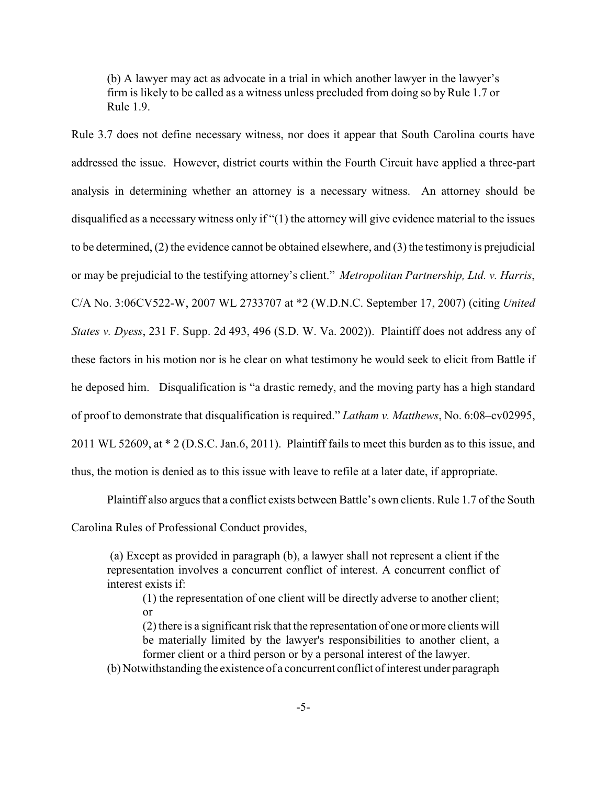(b) A lawyer may act as advocate in a trial in which another lawyer in the lawyer's firm is likely to be called as a witness unless precluded from doing so by Rule 1.7 or Rule 1.9.

Rule 3.7 does not define necessary witness, nor does it appear that South Carolina courts have addressed the issue. However, district courts within the Fourth Circuit have applied a three-part analysis in determining whether an attorney is a necessary witness. An attorney should be disqualified as a necessary witness only if "(1) the attorney will give evidence material to the issues to be determined, (2) the evidence cannot be obtained elsewhere, and (3) the testimony is prejudicial or may be prejudicial to the testifying attorney's client." *Metropolitan Partnership, Ltd. v. Harris*, C/A No. 3:06CV522-W, 2007 WL 2733707 at \*2 (W.D.N.C. September 17, 2007) (citing *United States v. Dyess*, 231 F. Supp. 2d 493, 496 (S.D. W. Va. 2002)). Plaintiff does not address any of these factors in his motion nor is he clear on what testimony he would seek to elicit from Battle if he deposed him. Disqualification is "a drastic remedy, and the moving party has a high standard of proof to demonstrate that disqualification is required." *Latham v. Matthews*, No. 6:08–cv02995, 2011 WL 52609, at \* 2 (D.S.C. Jan.6, 2011). Plaintiff fails to meet this burden as to this issue, and thus, the motion is denied as to this issue with leave to refile at a later date, if appropriate.

Plaintiff also argues that a conflict exists between Battle's own clients. Rule 1.7 of the South Carolina Rules of Professional Conduct provides,

(a) Except as provided in paragraph (b), a lawyer shall not represent a client if the representation involves a concurrent conflict of interest. A concurrent conflict of interest exists if:

(1) the representation of one client will be directly adverse to another client; or

(2) there is a significant risk that the representation of one or more clients will be materially limited by the lawyer's responsibilities to another client, a former client or a third person or by a personal interest of the lawyer.

(b) Notwithstanding the existence of a concurrent conflict of interest under paragraph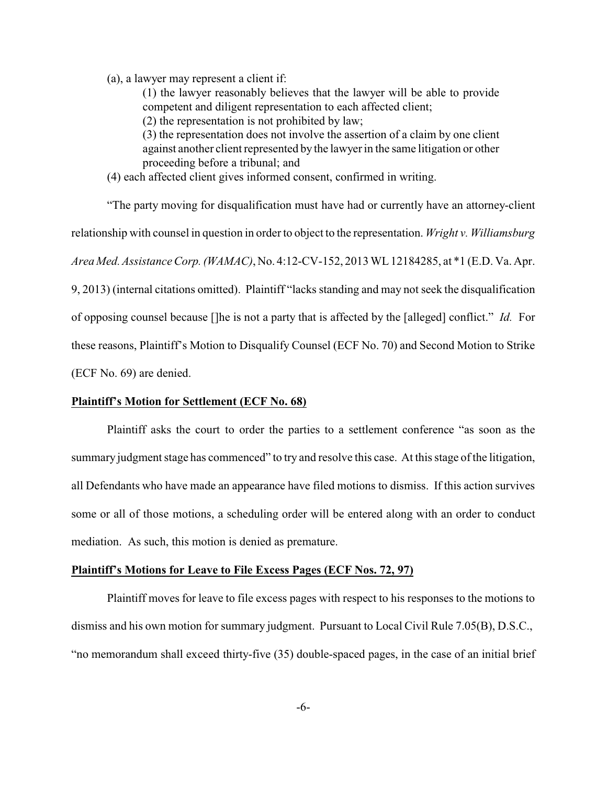(a), a lawyer may represent a client if:

(1) the lawyer reasonably believes that the lawyer will be able to provide competent and diligent representation to each affected client;

(2) the representation is not prohibited by law;

(3) the representation does not involve the assertion of a claim by one client against another client represented by the lawyer in the same litigation or other proceeding before a tribunal; and

(4) each affected client gives informed consent, confirmed in writing.

"The party moving for disqualification must have had or currently have an attorney-client relationship with counsel in question in order to object to the representation. *Wright v. Williamsburg Area Med. Assistance Corp. (WAMAC)*, No. 4:12-CV-152, 2013 WL12184285, at \*1 (E.D. Va. Apr. 9, 2013) (internal citations omitted). Plaintiff "lacks standing and may not seek the disqualification of opposing counsel because []he is not a party that is affected by the [alleged] conflict." *Id.* For these reasons, Plaintiff's Motion to Disqualify Counsel (ECF No. 70) and Second Motion to Strike (ECF No. 69) are denied.

#### **Plaintiff's Motion for Settlement (ECF No. 68)**

Plaintiff asks the court to order the parties to a settlement conference "as soon as the summary judgment stage has commenced" to try and resolve this case. At this stage of the litigation, all Defendants who have made an appearance have filed motions to dismiss. If this action survives some or all of those motions, a scheduling order will be entered along with an order to conduct mediation. As such, this motion is denied as premature.

#### **Plaintiff's Motions for Leave to File Excess Pages (ECF Nos. 72, 97)**

Plaintiff moves for leave to file excess pages with respect to his responses to the motions to dismiss and his own motion for summary judgment. Pursuant to Local Civil Rule 7.05(B), D.S.C., "no memorandum shall exceed thirty-five (35) double-spaced pages, in the case of an initial brief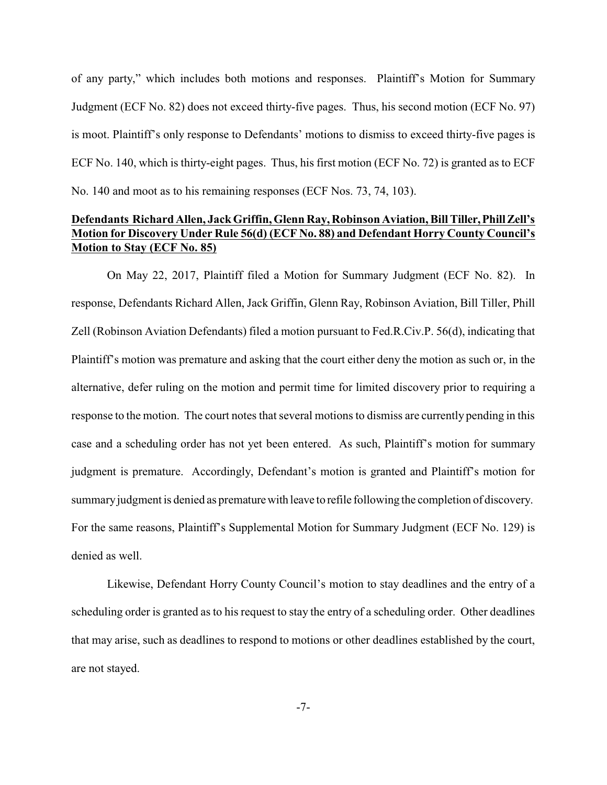of any party," which includes both motions and responses. Plaintiff's Motion for Summary Judgment (ECF No. 82) does not exceed thirty-five pages. Thus, his second motion (ECF No. 97) is moot. Plaintiff's only response to Defendants' motions to dismiss to exceed thirty-five pages is ECF No. 140, which is thirty-eight pages. Thus, his first motion (ECF No. 72) is granted as to ECF No. 140 and moot as to his remaining responses (ECF Nos. 73, 74, 103).

## **Defendants Richard Allen, Jack Griffin, Glenn Ray, Robinson Aviation, BillTiller,PhillZell's Motion for Discovery Under Rule 56(d) (ECF No. 88) and Defendant Horry County Council's Motion to Stay (ECF No. 85)**

On May 22, 2017, Plaintiff filed a Motion for Summary Judgment (ECF No. 82). In response, Defendants Richard Allen, Jack Griffin, Glenn Ray, Robinson Aviation, Bill Tiller, Phill Zell (Robinson Aviation Defendants) filed a motion pursuant to Fed.R.Civ.P. 56(d), indicating that Plaintiff's motion was premature and asking that the court either deny the motion as such or, in the alternative, defer ruling on the motion and permit time for limited discovery prior to requiring a response to the motion. The court notes that several motions to dismiss are currently pending in this case and a scheduling order has not yet been entered. As such, Plaintiff's motion for summary judgment is premature. Accordingly, Defendant's motion is granted and Plaintiff's motion for summary judgment is denied as premature with leave to refile following the completion of discovery. For the same reasons, Plaintiff's Supplemental Motion for Summary Judgment (ECF No. 129) is denied as well.

Likewise, Defendant Horry County Council's motion to stay deadlines and the entry of a scheduling order is granted as to his request to stay the entry of a scheduling order. Other deadlines that may arise, such as deadlines to respond to motions or other deadlines established by the court, are not stayed.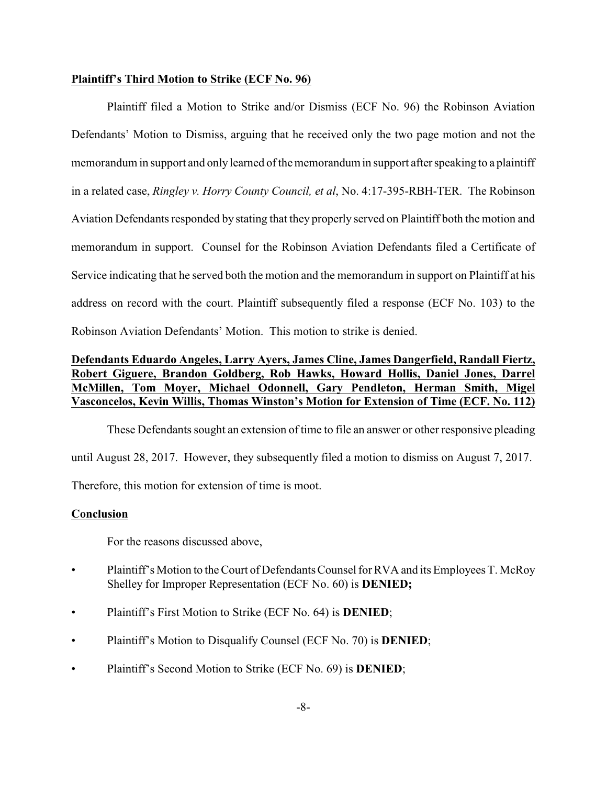#### **Plaintiff's Third Motion to Strike (ECF No. 96)**

Plaintiff filed a Motion to Strike and/or Dismiss (ECF No. 96) the Robinson Aviation Defendants' Motion to Dismiss, arguing that he received only the two page motion and not the memorandum in support and only learned of the memorandum in support after speaking to a plaintiff in a related case, *Ringley v. Horry County Council, et al*, No. 4:17-395-RBH-TER. The Robinson Aviation Defendants responded by stating that they properly served on Plaintiff both the motion and memorandum in support. Counsel for the Robinson Aviation Defendants filed a Certificate of Service indicating that he served both the motion and the memorandum in support on Plaintiff at his address on record with the court. Plaintiff subsequently filed a response (ECF No. 103) to the Robinson Aviation Defendants' Motion. This motion to strike is denied.

## **Defendants Eduardo Angeles, Larry Ayers, James Cline, James Dangerfield, Randall Fiertz, Robert Giguere, Brandon Goldberg, Rob Hawks, Howard Hollis, Daniel Jones, Darrel McMillen, Tom Moyer, Michael Odonnell, Gary Pendleton, Herman Smith, Migel Vasconcelos, Kevin Willis, Thomas Winston's Motion for Extension of Time (ECF. No. 112)**

These Defendants sought an extension of time to file an answer or other responsive pleading until August 28, 2017. However, they subsequently filed a motion to dismiss on August 7, 2017. Therefore, this motion for extension of time is moot.

#### **Conclusion**

For the reasons discussed above,

- Plaintiff's Motion to the Court of Defendants Counsel for RVA and its Employees T. McRoy Shelley for Improper Representation (ECF No. 60) is **DENIED;**
- Plaintiff's First Motion to Strike (ECF No. 64) is **DENIED**;
- Plaintiff's Motion to Disqualify Counsel (ECF No. 70) is **DENIED**;
- Plaintiff's Second Motion to Strike (ECF No. 69) is **DENIED**;